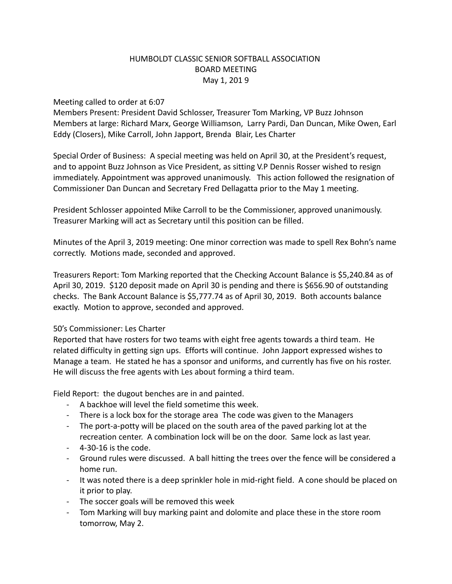## HUMBOLDT CLASSIC SENIOR SOFTBALL ASSOCIATION BOARD MEETING May 1, 201 9

## Meeting called to order at 6:07

Members Present: President David Schlosser, Treasurer Tom Marking, VP Buzz Johnson Members at large: Richard Marx, George Williamson, Larry Pardi, Dan Duncan, Mike Owen, Earl Eddy (Closers), Mike Carroll, John Japport, Brenda Blair, Les Charter

Special Order of Business: A special meeting was held on April 30, at the President's request, and to appoint Buzz Johnson as Vice President, as sitting V.P Dennis Rosser wished to resign immediately. Appointment was approved unanimously. This action followed the resignation of Commissioner Dan Duncan and Secretary Fred Dellagatta prior to the May 1 meeting.

President Schlosser appointed Mike Carroll to be the Commissioner, approved unanimously. Treasurer Marking will act as Secretary until this position can be filled.

Minutes of the April 3, 2019 meeting: One minor correction was made to spell Rex Bohn's name correctly. Motions made, seconded and approved.

Treasurers Report: Tom Marking reported that the Checking Account Balance is \$5,240.84 as of April 30, 2019. \$120 deposit made on April 30 is pending and there is \$656.90 of outstanding checks. The Bank Account Balance is \$5,777.74 as of April 30, 2019. Both accounts balance exactly. Motion to approve, seconded and approved.

## 50's Commissioner: Les Charter

Reported that have rosters for two teams with eight free agents towards a third team. He related difficulty in getting sign ups. Efforts will continue. John Japport expressed wishes to Manage a team. He stated he has a sponsor and uniforms, and currently has five on his roster. He will discuss the free agents with Les about forming a third team.

Field Report: the dugout benches are in and painted.

- A backhoe will level the field sometime this week.
- There is a lock box for the storage area The code was given to the Managers
- The port-a-potty will be placed on the south area of the paved parking lot at the recreation center. A combination lock will be on the door. Same lock as last year.
- 4-30-16 is the code.
- Ground rules were discussed. A ball hitting the trees over the fence will be considered a home run.
- It was noted there is a deep sprinkler hole in mid-right field. A cone should be placed on it prior to play.
- The soccer goals will be removed this week
- Tom Marking will buy marking paint and dolomite and place these in the store room tomorrow, May 2.